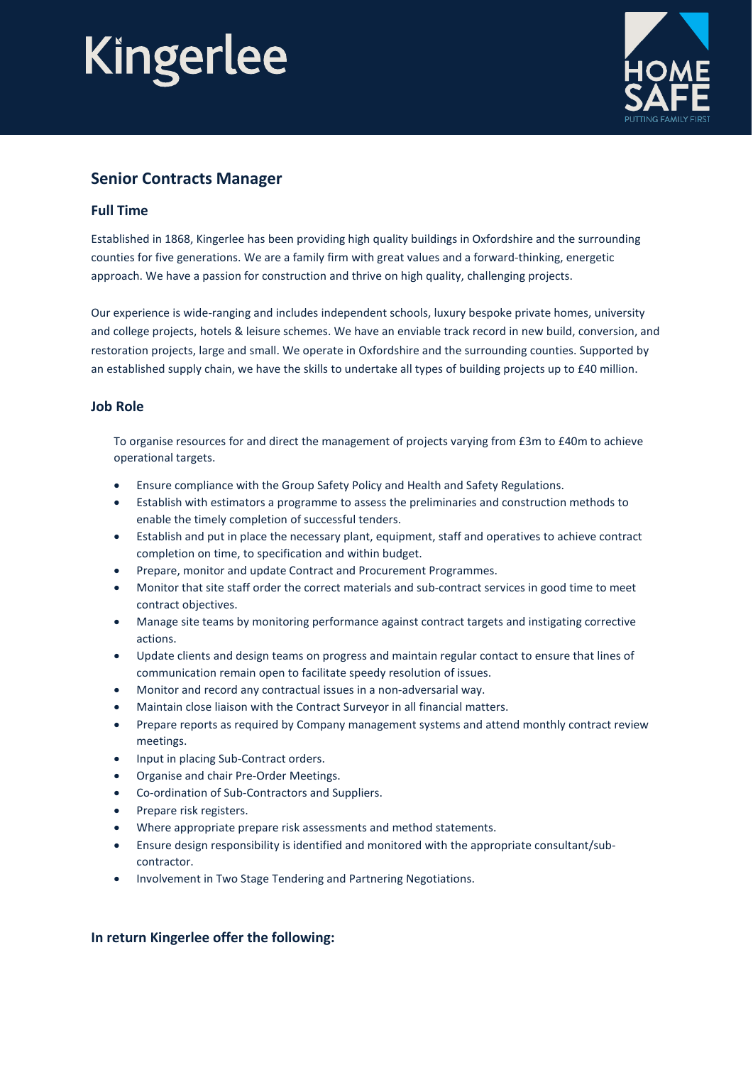# Kingerlee



### **Senior Contracts Manager**

#### **Full Time**

Established in 1868, Kingerlee has been providing high quality buildings in Oxfordshire and the surrounding counties for five generations. We are a family firm with great values and a forward-thinking, energetic approach. We have a passion for construction and thrive on high quality, challenging projects.

Our experience is wide-ranging and includes independent schools, luxury bespoke private homes, university and college projects, hotels & leisure schemes. We have an enviable track record in new build, conversion, and restoration projects, large and small. We operate in Oxfordshire and the surrounding counties. Supported by an established supply chain, we have the skills to undertake all types of building projects up to £40 million.

#### **Job Role**

To organise resources for and direct the management of projects varying from £3m to £40m to achieve operational targets.

- Ensure compliance with the Group Safety Policy and Health and Safety Regulations.
- Establish with estimators a programme to assess the preliminaries and construction methods to enable the timely completion of successful tenders.
- Establish and put in place the necessary plant, equipment, staff and operatives to achieve contract completion on time, to specification and within budget.
- Prepare, monitor and update Contract and Procurement Programmes.
- Monitor that site staff order the correct materials and sub-contract services in good time to meet contract objectives.
- Manage site teams by monitoring performance against contract targets and instigating corrective actions.
- Update clients and design teams on progress and maintain regular contact to ensure that lines of communication remain open to facilitate speedy resolution of issues.
- Monitor and record any contractual issues in a non-adversarial way.
- Maintain close liaison with the Contract Surveyor in all financial matters.
- Prepare reports as required by Company management systems and attend monthly contract review meetings.
- Input in placing Sub-Contract orders.
- Organise and chair Pre-Order Meetings.
- Co-ordination of Sub-Contractors and Suppliers.
- Prepare risk registers.
- Where appropriate prepare risk assessments and method statements.
- Ensure design responsibility is identified and monitored with the appropriate consultant/subcontractor.
- Involvement in Two Stage Tendering and Partnering Negotiations.

#### **In return Kingerlee offer the following:**